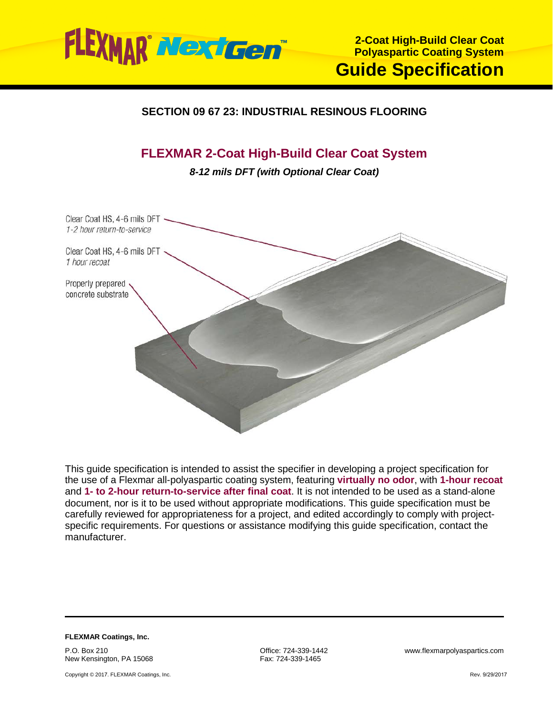

## **SECTION 09 67 23: INDUSTRIAL RESINOUS FLOORING**

# **FLEXMAR 2-Coat High-Build Clear Coat System**

*8-12 mils DFT (with Optional Clear Coat)*



This guide specification is intended to assist the specifier in developing a project specification for the use of a Flexmar all-polyaspartic coating system, featuring **virtually no odor**, with **1-hour recoat** and **1- to 2-hour return-to-service after final coat**. It is not intended to be used as a stand-alone document, nor is it to be used without appropriate modifications. This guide specification must be carefully reviewed for appropriateness for a project, and edited accordingly to comply with projectspecific requirements. For questions or assistance modifying this guide specification, contact the manufacturer.

**FLEXMAR Coatings, Inc.** P.O. Box 210 New Kensington, PA 15068

Copyright © 2017. FLEXMAR Coatings, Inc.

Fax: 724-339-1465

Office: 724-339-1442 www.flexmarpolyaspartics.com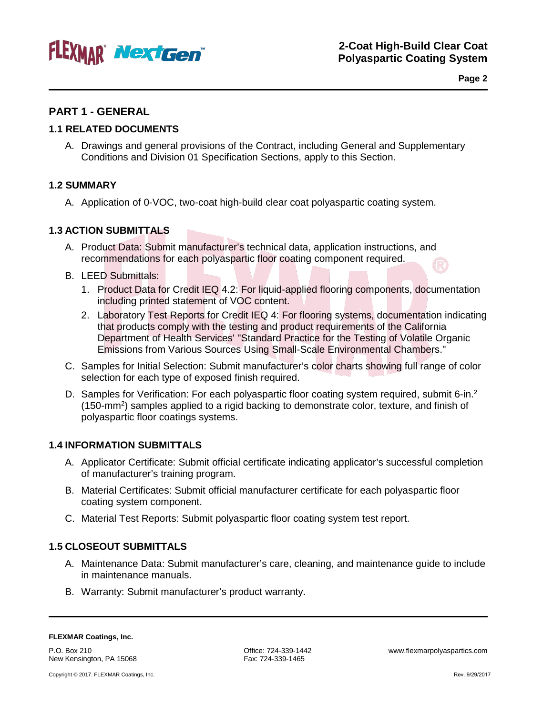

**Page 2**

## **PART 1 - GENERAL**

#### **1.1 RELATED DOCUMENTS**

A. Drawings and general provisions of the Contract, including General and Supplementary Conditions and Division 01 Specification Sections, apply to this Section.

#### **1.2 SUMMARY**

A. Application of 0-VOC, two-coat high-build clear coat polyaspartic coating system.

#### **1.3 ACTION SUBMITTALS**

- A. Product Data: Submit manufacturer's technical data, application instructions, and recommendations for each polyaspartic floor coating component required.
- B. LEED Submittals:
	- 1. Product Data for Credit IEQ 4.2: For liquid-applied flooring components, documentation including printed statement of VOC content.
	- 2. Laboratory Test Reports for Credit IEQ 4: For flooring systems, documentation indicating that products comply with the testing and product requirements of the California Department of Health Services' "Standard Practice for the Testing of Volatile Organic Emissions from Various Sources Using Small-Scale Environmental Chambers."
- C. Samples for Initial Selection: Submit manufacturer's color charts showing full range of color selection for each type of exposed finish required.
- D. Samples for Verification: For each polyaspartic floor coating system required, submit 6-in.<sup>2</sup> (150-mm<sup>2</sup>) samples applied to a rigid backing to demonstrate color, texture, and finish of polyaspartic floor coatings systems.

#### **1.4 INFORMATION SUBMITTALS**

- A. Applicator Certificate: Submit official certificate indicating applicator's successful completion of manufacturer's training program.
- B. Material Certificates: Submit official manufacturer certificate for each polyaspartic floor coating system component.
- C. Material Test Reports: Submit polyaspartic floor coating system test report.

#### **1.5 CLOSEOUT SUBMITTALS**

- A. Maintenance Data: Submit manufacturer's care, cleaning, and maintenance guide to include in maintenance manuals.
- B. Warranty: Submit manufacturer's product warranty.

P.O. Box 210 New Kensington, PA 15068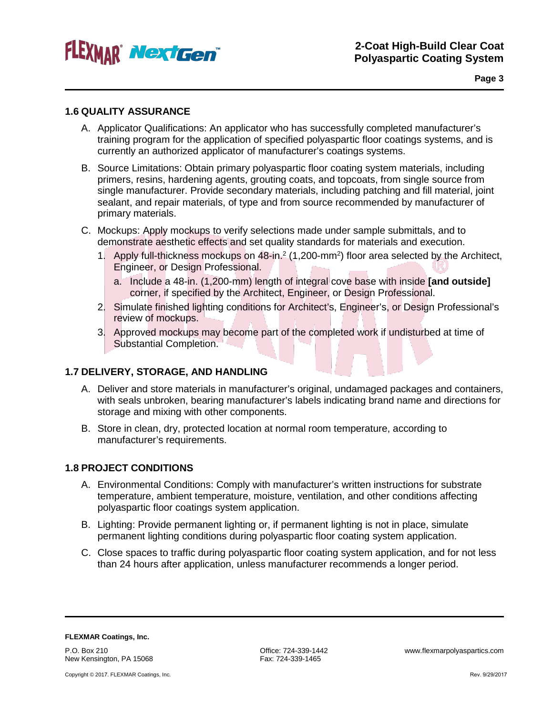

**Page 3**

#### **1.6 QUALITY ASSURANCE**

- A. Applicator Qualifications: An applicator who has successfully completed manufacturer's training program for the application of specified polyaspartic floor coatings systems, and is currently an authorized applicator of manufacturer's coatings systems.
- B. Source Limitations: Obtain primary polyaspartic floor coating system materials, including primers, resins, hardening agents, grouting coats, and topcoats, from single source from single manufacturer. Provide secondary materials, including patching and fill material, joint sealant, and repair materials, of type and from source recommended by manufacturer of primary materials.
- C. Mockups: Apply mockups to verify selections made under sample submittals, and to demonstrate aesthetic effects and set quality standards for materials and execution.
	- 1. Apply full-thickness mockups on 48-in.<sup>2</sup> (1,200-mm<sup>2</sup>) floor area selected by the Architect, Engineer, or Design Professional.
		- a. Include a 48-in. (1,200-mm) length of integral cove base with inside **[and outside]** corner, if specified by the Architect, Engineer, or Design Professional.
	- 2. Simulate finished lighting conditions for Architect's, Engineer's, or Design Professional's review of mockups.
	- 3. Approved mockups may become part of the completed work if undisturbed at time of Substantial Completion.

### **1.7 DELIVERY, STORAGE, AND HANDLING**

- A. Deliver and store materials in manufacturer's original, undamaged packages and containers, with seals unbroken, bearing manufacturer's labels indicating brand name and directions for storage and mixing with other components.
- B. Store in clean, dry, protected location at normal room temperature, according to manufacturer's requirements.

#### **1.8 PROJECT CONDITIONS**

- A. Environmental Conditions: Comply with manufacturer's written instructions for substrate temperature, ambient temperature, moisture, ventilation, and other conditions affecting polyaspartic floor coatings system application.
- B. Lighting: Provide permanent lighting or, if permanent lighting is not in place, simulate permanent lighting conditions during polyaspartic floor coating system application.
- C. Close spaces to traffic during polyaspartic floor coating system application, and for not less than 24 hours after application, unless manufacturer recommends a longer period.

**FLEXMAR Coatings, Inc.** P.O. Box 210 New Kensington, PA 15068

Fax: 724-339-1465

Office: 724-339-1442 www.flexmarpolyaspartics.com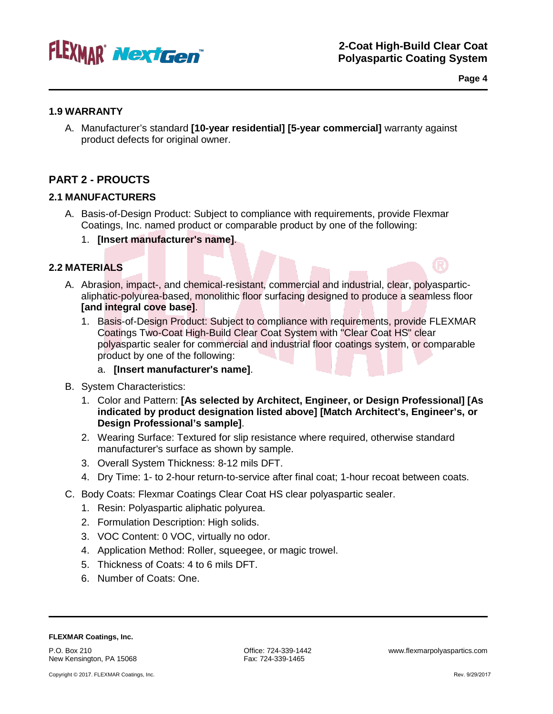

**Page 4**

#### **1.9 WARRANTY**

A. Manufacturer's standard **[10-year residential] [5-year commercial]** warranty against product defects for original owner.

## **PART 2 - PROUCTS**

### **2.1 MANUFACTURERS**

- A. Basis-of-Design Product: Subject to compliance with requirements, provide Flexmar Coatings, Inc. named product or comparable product by one of the following:
	- 1. **[Insert manufacturer's name]**.

## **2.2 MATERIALS**

- A. Abrasion, impact-, and chemical-resistant, commercial and industrial, clear, polyasparticaliphatic-polyurea-based, monolithic floor surfacing designed to produce a seamless floor **[and integral cove base]**.
	- 1. Basis-of-Design Product: Subject to compliance with requirements, provide FLEXMAR Coatings Two-Coat High-Build Clear Coat System with "Clear Coat HS" clear polyaspartic sealer for commercial and industrial floor coatings system, or comparable product by one of the following:
		- a. **[Insert manufacturer's name]**.
- B. System Characteristics:
	- 1. Color and Pattern: **[As selected by Architect, Engineer, or Design Professional] [As indicated by product designation listed above] [Match Architect's, Engineer's, or Design Professional's sample]**.
	- 2. Wearing Surface: Textured for slip resistance where required, otherwise standard manufacturer's surface as shown by sample.
	- 3. Overall System Thickness: 8-12 mils DFT.
	- 4. Dry Time: 1- to 2-hour return-to-service after final coat; 1-hour recoat between coats.
- C. Body Coats: Flexmar Coatings Clear Coat HS clear polyaspartic sealer.
	- 1. Resin: Polyaspartic aliphatic polyurea.
	- 2. Formulation Description: High solids.
	- 3. VOC Content: 0 VOC, virtually no odor.
	- 4. Application Method: Roller, squeegee, or magic trowel.
	- 5. Thickness of Coats: 4 to 6 mils DFT.
	- 6. Number of Coats: One.

#### **FLEXMAR Coatings, Inc.**

P.O. Box 210 New Kensington, PA 15068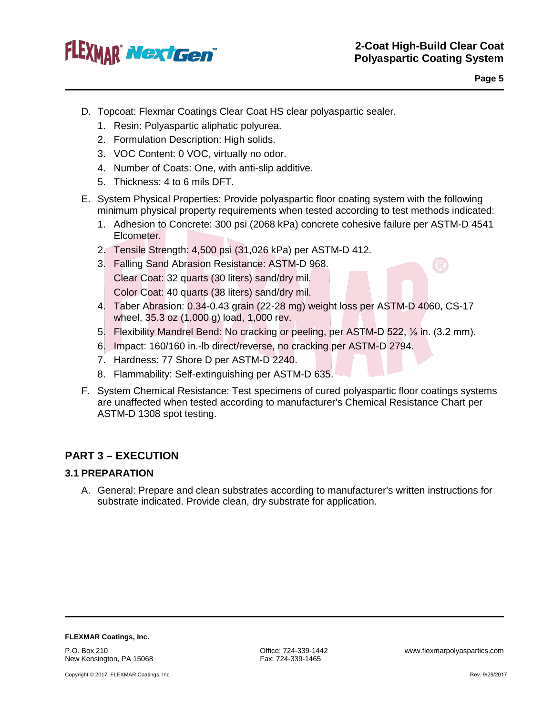

 $\Omega$ 

- D. Topcoat: Flexmar Coatings Clear Coat HS clear polyaspartic sealer.
	- 1. Resin: Polyaspartic aliphatic polyurea.
	- 2. Formulation Description: High solids.
	- 3. VOC Content: 0 VOC, virtually no odor.
	- 4. Number of Coats: One, with anti-slip additive.
	- 5. Thickness: 4 to 6 mils DFT.
- E. System Physical Properties: Provide polyaspartic floor coating system with the following minimum physical property requirements when tested according to test methods indicated:
	- 1. Adhesion to Concrete: 300 psi (2068 kPa) concrete cohesive failure per ASTM-D 4541 Elcometer.
	- 2. Tensile Strength: 4,500 psi (31,026 kPa) per ASTM-D 412.
	- 3. Falling Sand Abrasion Resistance: ASTM-D 968. Clear Coat: 32 quarts (30 liters) sand/dry mil. Color Coat: 40 quarts (38 liters) sand/dry mil.
	- 4. Taber Abrasion: 0.34-0.43 grain (22-28 mg) weight loss per ASTM-D 4060, CS-17 wheel, 35.3 oz (1,000 g) load, 1,000 rev.
	- 5. Flexibility Mandrel Bend: No cracking or peeling, per ASTM-D 522, ⅛ in. (3.2 mm).
	- 6. Impact: 160/160 in.-lb direct/reverse, no cracking per ASTM-D 2794.
	- 7. Hardness: 77 Shore D per ASTM-D 2240.
	- 8. Flammability: Self-extinguishing per ASTM-D 635.
- F. System Chemical Resistance: Test specimens of cured polyaspartic floor coatings systems are unaffected when tested according to manufacturer's Chemical Resistance Chart per ASTM-D 1308 spot testing.

## **PART 3 – EXECUTION**

#### **3.1 PREPARATION**

A. General: Prepare and clean substrates according to manufacturer's written instructions for substrate indicated. Provide clean, dry substrate for application.

**FLEXMAR Coatings, Inc.**

P.O. Box 210 New Kensington, PA 15068

Copyright © 2017. FLEXMAR Coatings, Inc.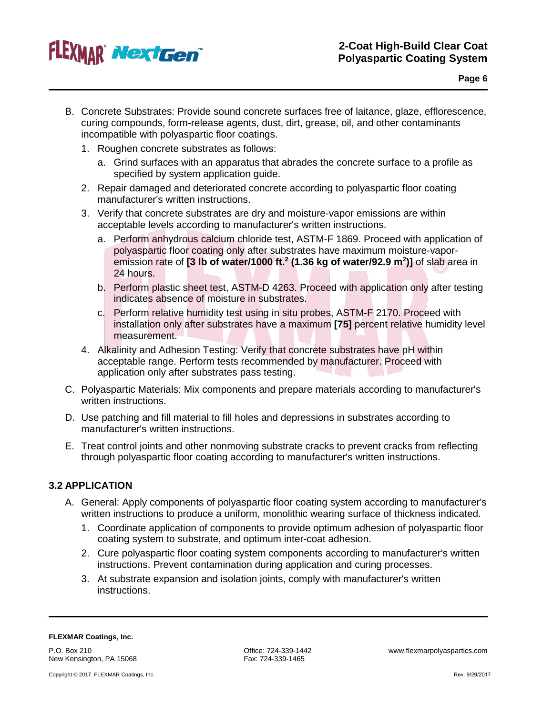

- B. Concrete Substrates: Provide sound concrete surfaces free of laitance, glaze, efflorescence, curing compounds, form-release agents, dust, dirt, grease, oil, and other contaminants incompatible with polyaspartic floor coatings.
	- 1. Roughen concrete substrates as follows:
		- a. Grind surfaces with an apparatus that abrades the concrete surface to a profile as specified by system application guide.
	- 2. Repair damaged and deteriorated concrete according to polyaspartic floor coating manufacturer's written instructions.
	- 3. Verify that concrete substrates are dry and moisture-vapor emissions are within acceptable levels according to manufacturer's written instructions.
		- a. Perform anhydrous calcium chloride test, ASTM-F 1869. Proceed with application of polyaspartic floor coating only after substrates have maximum moisture-vaporemission rate of **[3 lb of water/1000 ft.2 (1.36 kg of water/92.9 m2 )]** of slab area in 24 hours.
		- b. Perform plastic sheet test, ASTM-D 4263. Proceed with application only after testing indicates absence of moisture in substrates.
		- c. Perform relative humidity test using in situ probes, ASTM-F 2170. Proceed with installation only after substrates have a maximum **[75]** percent relative humidity level measurement.
	- 4. Alkalinity and Adhesion Testing: Verify that concrete substrates have pH within acceptable range. Perform tests recommended by manufacturer. Proceed with application only after substrates pass testing.
- C. Polyaspartic Materials: Mix components and prepare materials according to manufacturer's written instructions.
- D. Use patching and fill material to fill holes and depressions in substrates according to manufacturer's written instructions.
- E. Treat control joints and other nonmoving substrate cracks to prevent cracks from reflecting through polyaspartic floor coating according to manufacturer's written instructions.

### **3.2 APPLICATION**

- A. General: Apply components of polyaspartic floor coating system according to manufacturer's written instructions to produce a uniform, monolithic wearing surface of thickness indicated.
	- 1. Coordinate application of components to provide optimum adhesion of polyaspartic floor coating system to substrate, and optimum inter-coat adhesion.
	- 2. Cure polyaspartic floor coating system components according to manufacturer's written instructions. Prevent contamination during application and curing processes.
	- 3. At substrate expansion and isolation joints, comply with manufacturer's written instructions.

#### **FLEXMAR Coatings, Inc.**

P.O. Box 210 New Kensington, PA 15068

Copyright © 2017. FLEXMAR Coatings, Inc.